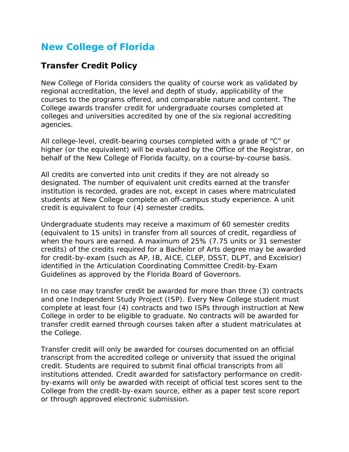## **New College of Florida**

## **Transfer Credit Policy**

New College of Florida considers the quality of course work as validated by regional accreditation, the level and depth of study, applicability of the courses to the programs offered, and comparable nature and content. The College awards transfer credit for undergraduate courses completed at colleges and universities accredited by one of the six regional accrediting agencies.

All college-level, credit-bearing courses completed with a grade of "C" or higher (or the equivalent) will be evaluated by the Office of the Registrar, on behalf of the New College of Florida faculty, on a course-by-course basis.

All credits are converted into unit credits if they are not already so designated. The number of equivalent unit credits earned at the transfer institution is recorded, grades are not, except in cases where matriculated students at New College complete an off-campus study experience. A unit credit is equivalent to four (4) semester credits.

Undergraduate students may receive a maximum of 60 semester credits (equivalent to 15 units) in transfer from all sources of credit, regardless of when the hours are earned. A maximum of 25% (7.75 units or 31 semester credits) of the credits required for a Bachelor of Arts degree may be awarded for credit-by-exam (such as AP, IB, AICE, CLEP, DSST, DLPT, and Excelsior) identified in the Articulation Coordinating Committee Credit-by-Exam Guidelines as approved by the Florida Board of Governors.

In no case may transfer credit be awarded for more than three (3) contracts and one Independent Study Project (ISP). Every New College student must complete at least four (4) contracts and two ISPs through instruction at New College in order to be eligible to graduate. No contracts will be awarded for transfer credit earned through courses taken after a student matriculates at the College.

Transfer credit will only be awarded for courses documented on an official transcript from the accredited college or university that issued the original credit. Students are required to submit final official transcripts from all institutions attended. Credit awarded for satisfactory performance on creditby-exams will only be awarded with receipt of official test scores sent to the College from the credit-by-exam source, either as a paper test score report or through approved electronic submission.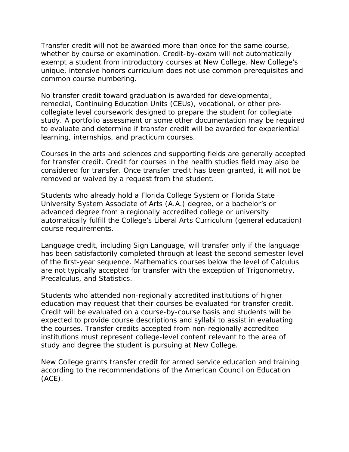Transfer credit will not be awarded more than once for the same course, whether by course or examination. Credit-by-exam will not automatically exempt a student from introductory courses at New College. New College's unique, intensive honors curriculum does not use common prerequisites and common course numbering.

No transfer credit toward graduation is awarded for developmental, remedial, Continuing Education Units (CEUs), vocational, or other precollegiate level coursework designed to prepare the student for collegiate study. A portfolio assessment or some other documentation may be required to evaluate and determine if transfer credit will be awarded for experiential learning, internships, and practicum courses.

Courses in the arts and sciences and supporting fields are generally accepted for transfer credit. Credit for courses in the health studies field may also be considered for transfer. Once transfer credit has been granted, it will not be removed or waived by a request from the student.

Students who already hold a Florida College System or Florida State University System Associate of Arts (A.A.) degree, or a bachelor's or advanced degree from a regionally accredited college or university automatically fulfill the College's Liberal Arts Curriculum (general education) course requirements.

Language credit, including Sign Language, will transfer only if the language has been satisfactorily completed through at least the second semester level of the first-year sequence. Mathematics courses below the level of Calculus are not typically accepted for transfer with the exception of Trigonometry, Precalculus, and Statistics.

Students who attended non-regionally accredited institutions of higher education may request that their courses be evaluated for transfer credit. Credit will be evaluated on a course-by-course basis and students will be expected to provide course descriptions and syllabi to assist in evaluating the courses. Transfer credits accepted from non-regionally accredited institutions must represent college-level content relevant to the area of study and degree the student is pursuing at New College.

New College grants transfer credit for armed service education and training according to the recommendations of the American Council on Education (ACE).